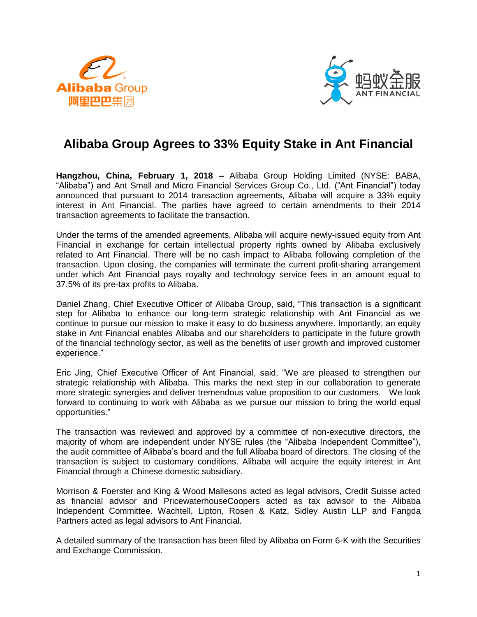



# **Alibaba Group Agrees to 33% Equity Stake in Ant Financial**

**Hangzhou, China, February 1, 2018 –** Alibaba Group Holding Limited (NYSE: BABA, "Alibaba") and Ant Small and Micro Financial Services Group Co., Ltd. ("Ant Financial") today announced that pursuant to 2014 transaction agreements, Alibaba will acquire a 33% equity interest in Ant Financial. The parties have agreed to certain amendments to their 2014 transaction agreements to facilitate the transaction.

Under the terms of the amended agreements, Alibaba will acquire newly-issued equity from Ant Financial in exchange for certain intellectual property rights owned by Alibaba exclusively related to Ant Financial. There will be no cash impact to Alibaba following completion of the transaction. Upon closing, the companies will terminate the current profit-sharing arrangement under which Ant Financial pays royalty and technology service fees in an amount equal to 37.5% of its pre-tax profits to Alibaba.

Daniel Zhang, Chief Executive Officer of Alibaba Group, said, "This transaction is a significant step for Alibaba to enhance our long-term strategic relationship with Ant Financial as we continue to pursue our mission to make it easy to do business anywhere. Importantly, an equity stake in Ant Financial enables Alibaba and our shareholders to participate in the future growth of the financial technology sector, as well as the benefits of user growth and improved customer experience."

Eric Jing, Chief Executive Officer of Ant Financial, said, "We are pleased to strengthen our strategic relationship with Alibaba. This marks the next step in our collaboration to generate more strategic synergies and deliver tremendous value proposition to our customers. We look forward to continuing to work with Alibaba as we pursue our mission to bring the world equal opportunities."

The transaction was reviewed and approved by a committee of non-executive directors, the majority of whom are independent under NYSE rules (the "Alibaba Independent Committee"), the audit committee of Alibaba's board and the full Alibaba board of directors. The closing of the transaction is subject to customary conditions. Alibaba will acquire the equity interest in Ant Financial through a Chinese domestic subsidiary.

Morrison & Foerster and King & Wood Mallesons acted as legal advisors, Credit Suisse acted as financial advisor and PricewaterhouseCoopers acted as tax advisor to the Alibaba Independent Committee. Wachtell, Lipton, Rosen & Katz, Sidley Austin LLP and Fangda Partners acted as legal advisors to Ant Financial.

A detailed summary of the transaction has been filed by Alibaba on Form 6-K with the Securities and Exchange Commission.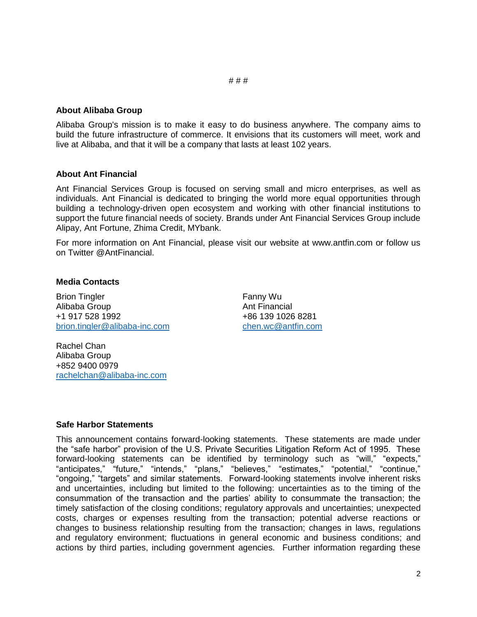#### # # #

# **About Alibaba Group**

Alibaba Group's mission is to make it easy to do business anywhere. The company aims to build the future infrastructure of commerce. It envisions that its customers will meet, work and live at Alibaba, and that it will be a company that lasts at least 102 years.

## **About Ant Financial**

Ant Financial Services Group is focused on serving small and micro enterprises, as well as individuals. Ant Financial is dedicated to bringing the world more equal opportunities through building a technology-driven open ecosystem and working with other financial institutions to support the future financial needs of society. Brands under Ant Financial Services Group include Alipay, Ant Fortune, Zhima Credit, MYbank.

For more information on Ant Financial, please visit our website at www.antfin.com or follow us on Twitter @AntFinancial.

## **Media Contacts**

Brion Tingler Alibaba Group +1 917 528 1992 [brion.tingler@alibaba-inc.com](mailto:brion.tingler@alibaba-inc.com) Fanny Wu Ant Financial +86 139 1026 8281 [chen.wc@antfin.com](mailto:chen.wc@antfin.com)

Rachel Chan Alibaba Group +852 9400 0979 [rachelchan@alibaba-inc.com](mailto:rachelchan@alibaba-inc.com)

#### **Safe Harbor Statements**

This announcement contains forward-looking statements. These statements are made under the "safe harbor" provision of the U.S. Private Securities Litigation Reform Act of 1995. These forward-looking statements can be identified by terminology such as "will," "expects," "anticipates," "future," "intends," "plans," "believes," "estimates," "potential," "continue," "ongoing," "targets" and similar statements. Forward-looking statements involve inherent risks and uncertainties, including but limited to the following: uncertainties as to the timing of the consummation of the transaction and the parties' ability to consummate the transaction; the timely satisfaction of the closing conditions; regulatory approvals and uncertainties; unexpected costs, charges or expenses resulting from the transaction; potential adverse reactions or changes to business relationship resulting from the transaction; changes in laws, regulations and regulatory environment; fluctuations in general economic and business conditions; and actions by third parties, including government agencies. Further information regarding these